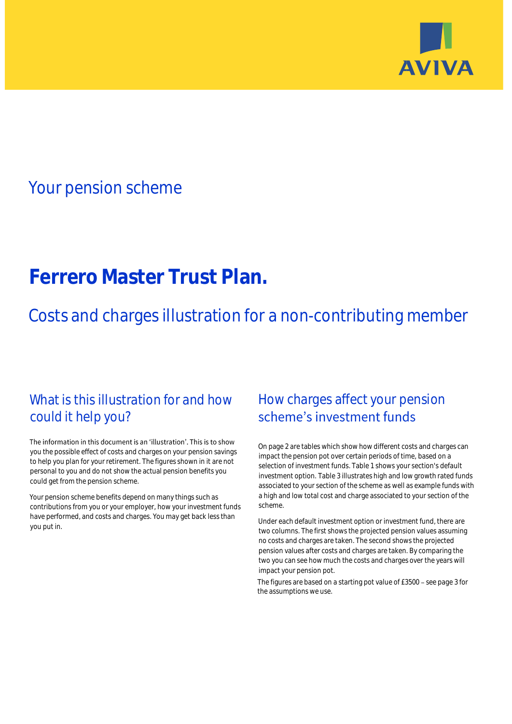

# Your pension scheme

# **Ferrero Master Trust Plan.**

Costs and charges illustration for a non-contributing member

# What is this illustration for and how could it help you?

### The information in this document is an 'illustration'. This is to show you the possible effect of costs and charges on your pension savings to help you plan for your retirement. The figures shown in it are not personal to you and do not show the actual pension benefits you could get from the pension scheme.

Your pension scheme benefits depend on many things such as contributions from you or your employer, how your investment funds have performed, and costs and charges. You may get back less than you put in.

# How charges affect your pension scheme's investment funds

On page 2 are tables which show how different costs and charges can impact the pension pot over certain periods of time, based on a selection of investment funds. Table 1 shows your section's default investment option. Table 3 illustrates high and low growth rated funds associated to your section of the scheme as well as example funds with a high and low total cost and charge associated to your section of the scheme.

Under each default investment option or investment fund, there are two columns. The first shows the projected pension values assuming no costs and charges are taken. The second shows the projected pension values after costs and charges are taken. By comparing the two you can see how much the costs and charges over the years will impact your pension pot.

The figures are based on a starting pot value of  $£3500 -$  see page 3 for the assumptions we use.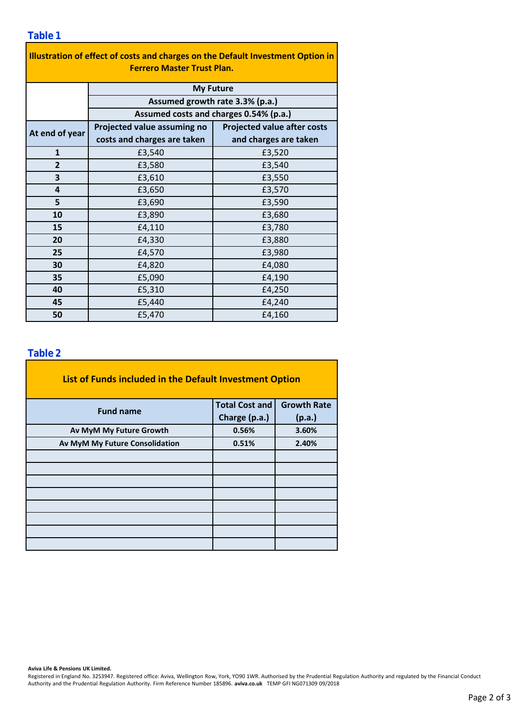### **Table 1**

| Illustration of effect of costs and charges on the Default Investment Option in |                                                                                               |                                    |  |  |  |  |  |  |
|---------------------------------------------------------------------------------|-----------------------------------------------------------------------------------------------|------------------------------------|--|--|--|--|--|--|
| <b>Ferrero Master Trust Plan.</b>                                               |                                                                                               |                                    |  |  |  |  |  |  |
|                                                                                 | <b>My Future</b><br>Assumed growth rate 3.3% (p.a.)<br>Assumed costs and charges 0.54% (p.a.) |                                    |  |  |  |  |  |  |
|                                                                                 |                                                                                               |                                    |  |  |  |  |  |  |
|                                                                                 |                                                                                               |                                    |  |  |  |  |  |  |
| At end of year                                                                  | Projected value assuming no                                                                   | <b>Projected value after costs</b> |  |  |  |  |  |  |
|                                                                                 | costs and charges are taken                                                                   | and charges are taken              |  |  |  |  |  |  |
| $\mathbf{1}$                                                                    | £3,540                                                                                        | £3,520                             |  |  |  |  |  |  |
| $\overline{2}$                                                                  | £3,580                                                                                        | £3,540                             |  |  |  |  |  |  |
| 3                                                                               | £3,610                                                                                        | £3,550                             |  |  |  |  |  |  |
| 4                                                                               | £3,650                                                                                        | £3,570                             |  |  |  |  |  |  |
| 5                                                                               | £3,690                                                                                        | £3,590                             |  |  |  |  |  |  |
| 10                                                                              | £3,890                                                                                        | £3,680                             |  |  |  |  |  |  |
| 15                                                                              | £4,110                                                                                        | £3,780                             |  |  |  |  |  |  |
| 20                                                                              | £4,330                                                                                        | £3,880                             |  |  |  |  |  |  |
| 25                                                                              | £4,570                                                                                        | £3,980                             |  |  |  |  |  |  |
| 30                                                                              | £4,820                                                                                        | £4,080                             |  |  |  |  |  |  |
| 35                                                                              | £5,090                                                                                        | £4,190                             |  |  |  |  |  |  |
| 40                                                                              | £5,310                                                                                        | £4,250                             |  |  |  |  |  |  |
| 45                                                                              | £5,440                                                                                        | £4,240                             |  |  |  |  |  |  |
| 50                                                                              | £5,470                                                                                        | £4,160                             |  |  |  |  |  |  |

### **Table 2**

| List of Funds included in the Default Investment Option |                       |                    |  |  |  |  |  |  |
|---------------------------------------------------------|-----------------------|--------------------|--|--|--|--|--|--|
| <b>Fund name</b>                                        | <b>Total Cost and</b> | <b>Growth Rate</b> |  |  |  |  |  |  |
|                                                         | Charge (p.a.)         | (p.a.)             |  |  |  |  |  |  |
| Av MyM My Future Growth                                 | 0.56%                 | 3.60%              |  |  |  |  |  |  |
| Av MyM My Future Consolidation                          | 0.51%                 | 2.40%              |  |  |  |  |  |  |
|                                                         |                       |                    |  |  |  |  |  |  |
|                                                         |                       |                    |  |  |  |  |  |  |
|                                                         |                       |                    |  |  |  |  |  |  |
|                                                         |                       |                    |  |  |  |  |  |  |
|                                                         |                       |                    |  |  |  |  |  |  |
|                                                         |                       |                    |  |  |  |  |  |  |
|                                                         |                       |                    |  |  |  |  |  |  |
|                                                         |                       |                    |  |  |  |  |  |  |

#### **Aviva Life & Pensions UK Limited.**

Registered in England No. 3253947. Registered office: Aviva, Wellington Row, York, YO90 1WR. Authorised by the Prudential Regulation Authority and regulated by the Financial Conduct Authority and the Prudential Regulation Authority. Firm Reference Number 185896. **aviva.co.uk** TEMP GFI NG071309 09/2018